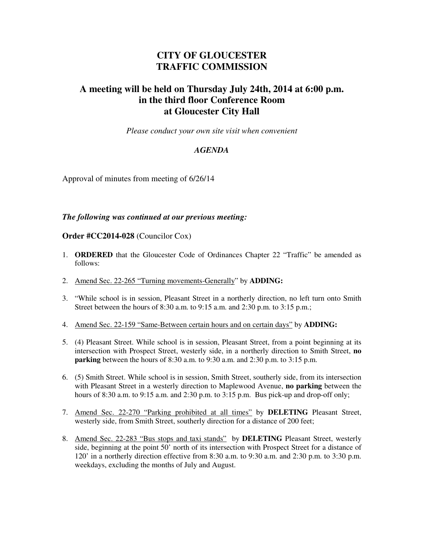## **CITY OF GLOUCESTER TRAFFIC COMMISSION**

## **A meeting will be held on Thursday July 24th, 2014 at 6:00 p.m. in the third floor Conference Room at Gloucester City Hall**

*Please conduct your own site visit when convenient* 

## *AGENDA*

Approval of minutes from meeting of 6/26/14

## *The following was continued at our previous meeting:*

**Order #CC2014-028** (Councilor Cox)

- 1. **ORDERED** that the Gloucester Code of Ordinances Chapter 22 "Traffic" be amended as follows:
- 2. Amend Sec. 22-265 "Turning movements-Generally" by **ADDING:**
- 3. "While school is in session, Pleasant Street in a northerly direction, no left turn onto Smith Street between the hours of 8:30 a.m. to 9:15 a.m. and 2:30 p.m. to 3:15 p.m.;
- 4. Amend Sec. 22-159 "Same-Between certain hours and on certain days" by **ADDING:**
- 5. (4) Pleasant Street. While school is in session, Pleasant Street, from a point beginning at its intersection with Prospect Street, westerly side, in a northerly direction to Smith Street, **no parking** between the hours of 8:30 a.m. to 9:30 a.m. and 2:30 p.m. to 3:15 p.m.
- 6. (5) Smith Street. While school is in session, Smith Street, southerly side, from its intersection with Pleasant Street in a westerly direction to Maplewood Avenue, **no parking** between the hours of 8:30 a.m. to 9:15 a.m. and 2:30 p.m. to 3:15 p.m. Bus pick-up and drop-off only;
- 7. Amend Sec. 22-270 "Parking prohibited at all times" by **DELETING** Pleasant Street, westerly side, from Smith Street, southerly direction for a distance of 200 feet;
- 8. Amend Sec. 22-283 "Bus stops and taxi stands" by **DELETING** Pleasant Street, westerly side, beginning at the point 50' north of its intersection with Prospect Street for a distance of 120' in a northerly direction effective from 8:30 a.m. to 9:30 a.m. and 2:30 p.m. to 3:30 p.m. weekdays, excluding the months of July and August.